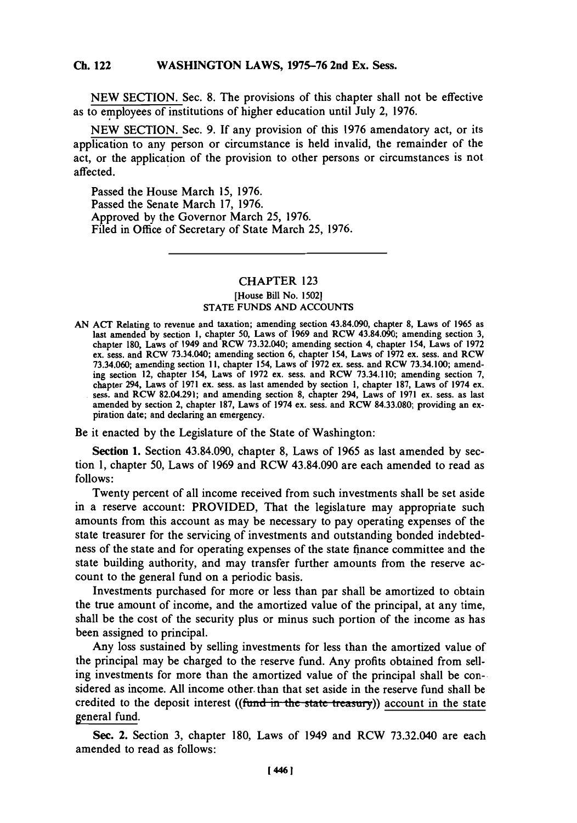## **Ch.** WASHINGTON **122** LAWS, **1975-76** 2nd Ex. Sess. **Ch.** 122

**NEW** SECTION. Sec. **8.** The provisions of this chapter shall not be effective as to employees of institutions of higher education until July 2, **1976.**

**NEW SECTION.** Sec. **9. If** any provision of this **1976** amendatory act, or its application to any person or circumstance is held invalid, the remainder of the act, or the application of the provision to other persons or circumstances is not affected.

Passed the House March **15, 1976.** Passed the Senate March **17, 1976.** Approved **by** the Governor March **25, 1976.** Filed in Office of Secretary of State March *25,* **1976.**

## CHAPTER **123** [House Bill No. **1502] STATE FUNDS AND ACCOUNTS**

**AN** ACT Relating to revenue and taxation; amending section 43.84.090, chapter **8,** Laws of **1965** as last amended **by** section **1,** chapter **50,** Laws of **1969** and RCW 43.84.090; amending section **3,** chapter **180,** Laws of 1949 and RCW **73.32.040;** amending section 4, chapter 154, Laws of **1972** ex. sess. and RCW 73.34.040; amending section **6,** chapter 154, Laws of **1972** ex. sess. and RCW **73.34.060;** amending section **11,** chapter 154, Laws of **1972** ex. sess. and RCW **73.34. 100;** amending section 12, chapter 154, Laws of **1972** ex. sess. and RCW **73.34.110;** amending section **7,** chapter 294, Laws of **1971** ex. sess. as last amended **by** section **1,** chapter **187,** Laws of 1974 ex. sess. and RCW 82.04.291; and amending section **8,** chapter 294, Laws of **1971** ex. sess. as last amended **by** section 2, chapter **187,** Laws of 1974 ex. sess. and RCW **84.33.080;** providing an ex piration date; and declaring an emergency.

Be it enacted **by** the Legislature of the State of Washington:

Section **1.** Section 43.84.090, chapter **8,** Laws of **1965** as last amended **by** section **1,** chapter **50,** Laws of **1969** and RCW 43.84.090 are each amended to read as **follows:**

Twenty percent of all income received from such investments shall be set aside in a reserve account: PROVIDED, That the legislature may appropriate such amounts from this account as may be necessary to pay operating expenses of the state treasurer for the servicing of investments and outstanding bonded indebtedness of the state and for operating expenses of the state finance committee and the state building authority, and may transfer further amounts from the reserve account to the general fund on a periodic basis.

Investments purchased for more or less than par shall be amortized to obtain the true amount of income, and the amortized value of the principal, at any time, shall be the cost of the security plus or minus such portion of the income as has been assigned to principal.

Any loss sustained **by** selling investments for less than the amortized value of the principal may be charged to the reserve fund. Any profits obtained from selling investments for more than the amortized value of the principal shall be considered as income. **All** income other. than that set aside in the reserve fund shall be credited to the deposit interest ((fund in the state treasury)) account in the state general fund.

Sec. 2. Section **3,** chapter **180,** Laws of 1949 and RCW **73.32.040** are each amended to read as follows: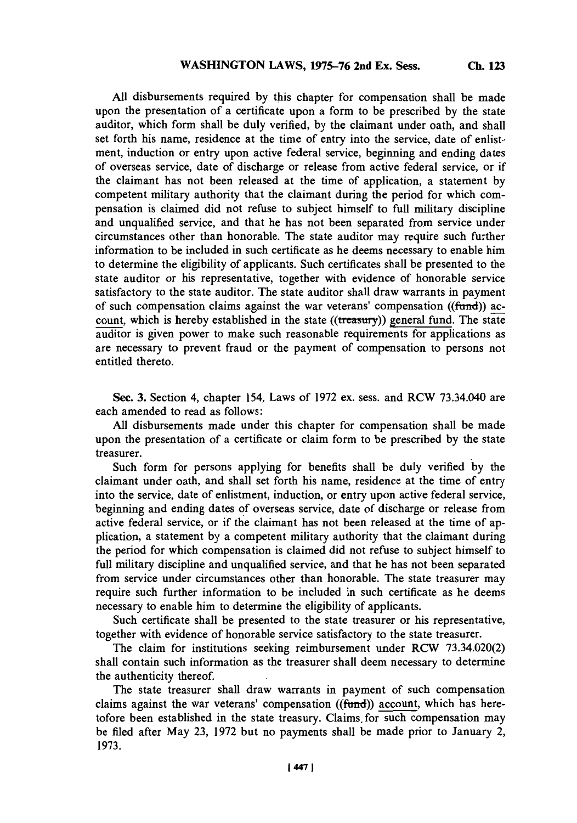**Ch. 123**

**All** disbursements required **by** this chapter for compensation shall be made upon the presentation of a certificate upon a form to be prescribed **by** the state auditor, which form shall be duly verified, **by** the claimant under oath, and shall set forth his name, residence at the time of entry into the service, date of enlistment, induction or entry upon active federal service, beginning and ending dates of overseas service, date of discharge or release from active federal service, or if the claimant has not been released at the time of application, a statement **by** competent military authority that the claimant during the period for which compensation is claimed did not refuse to subject himself to full military discipline and unqualified service, and that he has not been separated from service under circumstances other than honorable. The state auditor may require such further information to be included in such certificate as he deems necessary to enable him to determine the eligibility of applicants. Such certificates shall be presented to the state auditor or his representative, together with evidence of honorable service satisfactory to the state auditor. The state auditor shall draw warrants in payment of such compensation claims against the war veterans' compensation ((fund)) account, which is hereby established in the state  $((\text{tre$ *asury* $)) general fund. The state$ auditor is given power to make such reasonable requirements for applications as are necessary to prevent fraud or the payment of compensation to persons not entitled thereto.

See. **3.** Section 4, chapter *154,* Laws of **1972** ex. sess. and RCW 73.34.040 are each amended to read as follows:

**All** disbursements made under this chapter for compensation shall be made upon the presentation of a certificate or claim form to be prescribed **by** the state treasurer.

Such form for persons applying for benefits shall be duly verified **by** the claimant under oath, and shall set forth his name, residence at the time of entry into the service, date of enlistment, induction, or entry upon active federal service, beginning and ending dates of overseas service, date of discharge or release from active federal service, or if the claimant has not been released at the time of application, a statement **by** a competent military authority that the claimant during the period for-which compensation is claimed did not refuse to subject himself to full military discipline and unqualified service, and that he has not been separated from service under circumstances other than honorable. The state treasurer may require such further information to be included in such certificate as he deems necessary to enable him to determine the eligibility of applicants.

Such certificate shall be presented to the state treasurer or his representative, together with evidence of honorable service satisfactory to the state treasurer.

The claim for institutions seeking reimbursement under RCW **73.34.020(2)** shall contain such information as the treasurer shall deem necessary to determine the authenticity thereof.

The state treasurer shall draw warrants in payment of such compensation claims against the war veterans' compensation ((fund)) account, which has heretofore been established in the state treasury. Claims, for such compensation may be filed after May **23, 1972** but no payments shall be made prior to January 2, **1973.**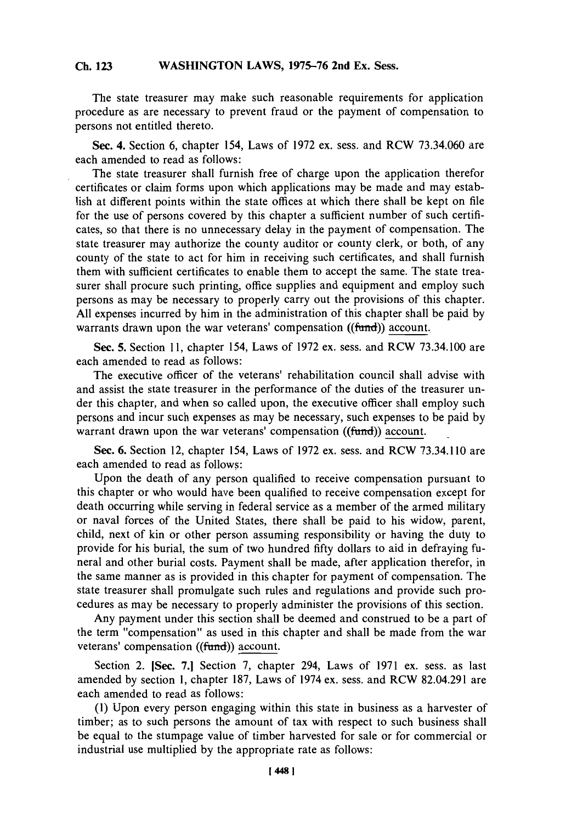## WASHINGTON LAWS, 1975-76 2nd Ex. Sess. **Ch. 123**

**The** state treasurer may make such reasonable requirements for application procedure as are necessary to prevent fraud or the payment of compensation to persons not entitled thereto.

See. **4.** Section **6,** chapter 154, Laws of **1972** ex. sess. and RCW **73.34.060** are each amended to read as follows:

The state treasurer shall furnish free of charge upon the application therefor certificates or claim forms upon which applications may be made and may establish at different points within the state offices at which there shall be kept on file for the use of persons covered **by** this chapter a sufficient number of such certificates, so that there is no unnecessary delay in the payment of compensation. The state treasurer may authorize the county auditor or county clerk, or both, of any county of the state to act for him in receiving such certificates, and shall furnish them with sufficient certificates to enable them to accept the same. The state treasurer shall procure such printing, office supplies and equipment and employ such persons as may be necessary to properly carry out the provisions of this chapter. **All** expenses incurred **by** him in the administration of this chapter shall be paid **by** warrants drawn upon the war veterans' compensation ((fund)) account.

Sec. **5.** Section **11,** chapter 154, Laws of **1972** ex. sess. and RCW **73.34. 100** are each amended to read as follows:

The executive officer of the veterans' rehabilitation council shall advise with and assist the state treasurer in the performance of the duties of the treasurer under this chapter, and when so called upon, the executive officer shall employ such persons and incur such expenses as may be necessary, such expenses to be paid **by** warrant drawn upon the war veterans' compensation ((fund)) account.

See. **6.** Section 12, chapter 154, Laws of **1972** ex. sess. and RCW **73.34.110** are each amended to read as follows:

Upon the death of any person qualified to receive compensation pursuant to this chapter or who would have been qualified to receive compensation except for death occurring while serving in federal service as a member of the armed military or naval forces of the United States, there shall be paid to his widow, parent, child, next of kin or other person assuming responsibility or having the duty to provide for his burial, the sum of two hundred fifty dollars to aid in defraying funeral and other burial costs. Payment shall be made, after application therefor, in the same manner as is provided in this chapter for payment of compensation. The state treasurer shall promulgate such rules and regulations and provide such procedures as may be necessary to properly administer the provisions of this section.

Any payment under this section shall be deemed and construed to be a part of the term "compensation" as used in this chapter and shall be made from the war veterans' compensation ((fund)) account.

Section 2. [Sec. **7.1** Section **7,** chapter 294, Laws of **1971** ex. sess. as last amended **by** section **1,** chapter **187,** Laws of 1974 ex. sess. and RCW 82.04.291 are each amended to read as follows:

**(1)** Upon every person engaging within this state in business as a harvester of timber; as to such persons the amount of tax with respect to such business shall be equal to the stumpage value of timber harvested for sale or for commercial or industrial use multiplied **by** the appropriate rate as follows: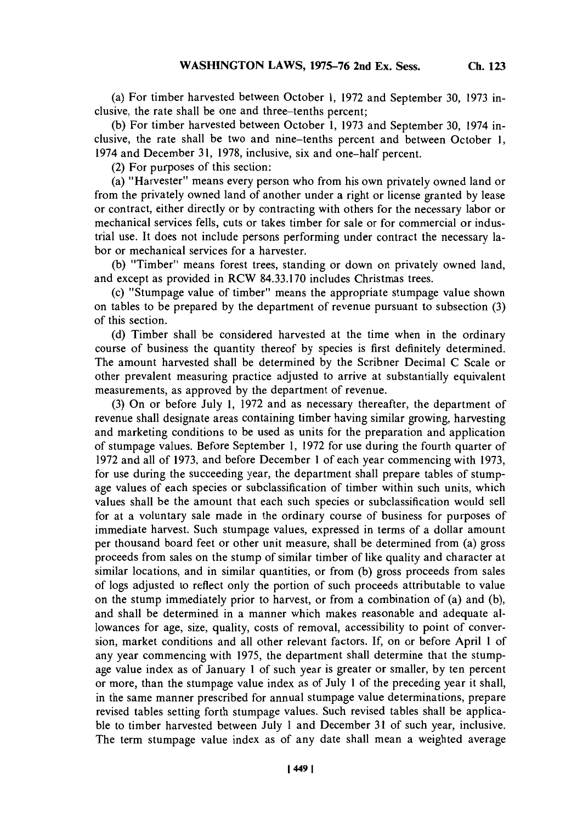**(a) For** timber harvested between October **1, 1972** and September **30, 1973** inclusive, the rate shall be one and three-tenths percent;

**(b)** For timber harvested between October **1, 1973** and September **30,** 1974 inclusive, the rate shall be two and nine-tenths percent and between October **1,** 1974 and December **31, 1978,** inclusive, six and one-half percent.

(2) For purposes of this section:

(a) "Harvester" means every person who from his own privately owned land or from the privately owned land of another under a right or license granted **by** lease or contract, either directly or **by** contracting with others for the necessary labor or mechanical services fells, cuts or takes timber for sale or for commercial or industrial use. It does not include persons performing under contract the necessary labor or mechanical services for a harvester.

**(b)** "Timber" means forest trees, standing or down on privately owned land, and except as provided in RCW **84.33.170** includes Christmas trees.

(c) "Stumpage value of timber" means the appropriate stumpage value shown on tables to be prepared **by** the department of revenue pursuant to subsection **(3)** of this section.

**(d)** Timber shall be considered harvested at the time when in the ordinary course of business the quantity thereof **by** species is first definitely determined. The amount harvested shall be determined **by** the Scribner Decimal **C** Scale or other prevalent measuring practice adjusted to arrive at substantially equivalent measurements, as approved **by** the department of revenue.

**(3)** On or before July **1, 1972** and as necessary thereafter, the department of revenue shall designate areas containing timber having similar growing, harvesting and marketing conditions to be used as units for the preparation and application of stumpage values. Before September **1, 1972** for use during the fourth quarter of **1972** and all of **1973,** and before December 1 of each year commencing with **1973,** for use during the succeeding year, the department shall prepare tables of stumpage values of each species or subclassification of timber within such units, which values shall be the amount that each such species or subclassification would sell for at a voluntary sale made in the ordinary course of business for purposes of immediate harvest. Such stumpage values, expressed in terms of a dollar amount per thousand board feet or other unit measure, shall be determined from (a) gross proceeds from sales on the stump of similar timber of like quality and character at similar locations, and in similar quantities, or from **(b)** gross proceeds from sales of logs adjusted to reflect only the portion of such proceeds attributable to value on the stump immediately prior to harvest, or from a combination of (a) and **(b),** and shall be determined in a manner which makes reasonable and adequate allowances for age, size, quality, costs of removal, accessibility to point of conversion, market conditions and all other relevant factors. **If,** on or before April 1 of any year commencing with *1975,* the department shall determine that the stumpage value index as of January 1 of such year is greater or smaller, **by** ten percent or more, than the stumpage value index as of July 1 of the preceding year it shall, in the same manner prescribed for annual stumpage value determinations, prepare revised tables setting forth stumpage values. Such revised tables shall be applicable to timber harvested between July 1 and December **31** of such year, inclusive. The term stumpage value index as of any date shall mean a weighted average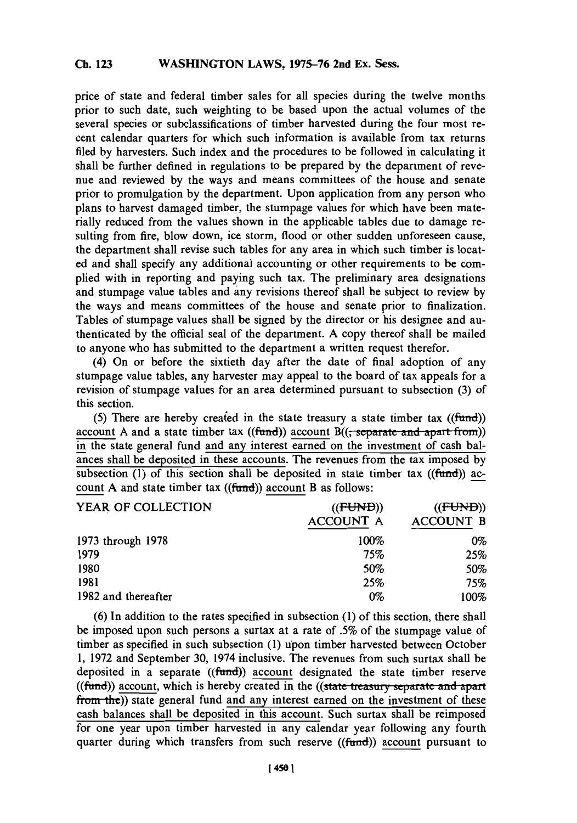## WASHINGTON LAWS, 1975-76 2nd Ex. Sess. **Ch. 123**

**price** of state and federal timber sales for all species during the twelve months prior to such date, such weighting to be based upon the actual volumes of the several species or subclassifications of timber harvested during the four most recent calendar quarters for which such information is available from tax returns filed **by** harvesters. Such index and the procedures to be followed in calculating it shall be further defined in regulations to be prepared **by** the department of revenue and reviewed **by** the ways and means committees of the house and senate prior to promulgation **by** the department. Upon application from any person who plans to harvest damaged timber, the stumpage values for which have been materially reduced from the values shown in the applicable tables due to damage resulting from fire, blow down, ice storm, flood or other sudden unforeseen cause, the department shall revise such tables for any area in which such timber is located and shall specify any additional accounting or other requirements to be complied with in reporting and paying such tax. The preliminary area designations and stumpage value tables and any revisions thereof shall be subject to review **by** the ways and means committees of the house and senate prior to finalization. Tables of stumpage values shall be signed **by** the director or his designee and authenticated **by** the official seal of the department. **A** copy thereof shall be mailed to anyone who has submitted to the department a written request therefor.

(4) On or before the sixtieth day after the date of final adoption of any stumpage value tables, any harvester may appeal to the board of tax appeals for a revision of stumpage values for an area determined pursuant to subsection **(3)** of this section.

*(5)* There are hereby creaied in the state treasury a state timber tax ((fund)) account A and a state timber tax ((fund)) account B((; separate and apart from)) in the state general fund and any interest earned on the investment of cash balances shall be deposited in these accounts. The revenues from the tax imposed **by** subsection  $(1)$  of this section shall be deposited in state timber tax ((fund)) account A and state timber tax ((fund)) account B as follows:

| YEAR OF COLLECTION  | ((FUND))         | ((FUND))         |
|---------------------|------------------|------------------|
|                     | <b>ACCOUNT A</b> | <b>ACCOUNT B</b> |
| 1973 through 1978   | 100%             | 0%               |
| 1979                | 75%              | 25%              |
| 1980                | <b>50%</b>       | 50%              |
| 1981                | 25%              | 75%              |
| 1982 and thereafter | 0%               | 100%             |

**(6)** In addition to the rates specified in subsection **(1)** of this section, there shall be imposed upon such persons a surtax at a rate of *.5%* of the stumpage value of timber as specified in such subsection **(1)** upon timber harvested between October **1, 1972** and September **30,** 1974 inclusive. The revenues from such surtax shall be deposited in a separate  $((fund))$  account designated the state timber reserve ((fund)) account, which is hereby created in the ((state treasury separate and apart from the)) state general fund and any interest earned on the investment of these cash balances shall be deposited in this account. Such surtax shall be reimposed for one year upon timber harvested in any calendar year following any fourth quarter during which transfers from such reserve ((fund)) account pursuant to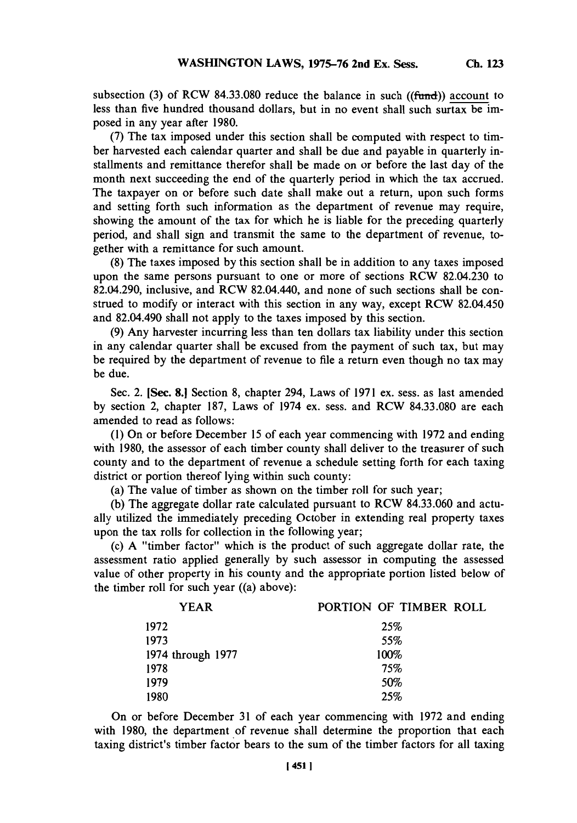subsection (3) of RCW 84.33.080 reduce the balance in such ((fund)) account to less than five hundred thousand dollars, but in no event shall such surtax be **im**posed in any year after **1980.**

**(7)** The tax imposed under this section shall he computed with respect to timber harvested each calendar quarter and shall be due and payable in quarterly installments and remittance therefor shall be made on or before the last day of the month next succeeding the end of the quarterly period in which the tax accrued. The taxpayer on or before such date shall make out a return, upon such forms and setting forth such information as the department of revenue may require, showing the amount of the tax for which he is liable for the preceding quarterly period, and shall sign and transmit the same to the department of revenue, together with a remittance for such amount.

**(8)** The taxes imposed **by** this section shall be in addition to any taxes imposed upon the same persons pursuant to one or more of sections RCW 82.04.230 to 82.04.290, inclusive, and RCW 82.04.440, and none of such sections shall be construed to modify or interact with this section in any way, except RCW 82.04.450 and 82.04.490 shall not apply to the taxes imposed **by** this section.

**(9)** Any harvester incurring less than ten dollars tax liability under this section in any calendar quarter shall be excused from the payment of such tax, but may be required **by** the department of revenue to ifie a return even though no tax may be due.

Sec. 2. [Sec. **8.1** Section **8,** chapter 294, Laws of **1971** ex. sess. as last amended **by** section 2, chapter **187,** Laws of 1974 ex. sess. and RCW **84.33.080** are each amended to read as follows:

**(1)** On or before December **15** of each year commencing with **1972** and ending with **1980,** the assessor of each timber county shall deliver to the treasurer of such county and to the department of revenue a schedule setting forth for each taxing district or portion thereof lying within such county:

(a) The value of timber as shown on the timber roll for such year;

**(b)** The aggregate dollar rate calculated pursuant to RCW **84.33.060** and actually utilized the immediately preceding October in extending real property taxes upon the tax rolls for collection in the following year;

(c) **A** "timber factor" which is the product of such aggregate dollar rate, the assessment ratio applied generally **by** such assessor in computing the assessed value of other property in his county and the appropriate portion listed below of the timber roll for such year ((a) above):

| YEAR              | PORTION OF TIMBER ROLL |
|-------------------|------------------------|
| 1972              | 25%                    |
| 1973              | 55%                    |
| 1974 through 1977 | 100%                   |
| 1978              | 75%                    |
| 1979              | 50%                    |
| 1980              | 25%                    |

On or before December **31** of each year commencing with **1972** and ending with **1980,** the department of revenue shall determine the proportion that each taxing district's timber factor bears to the sum of the timber factors for all taxing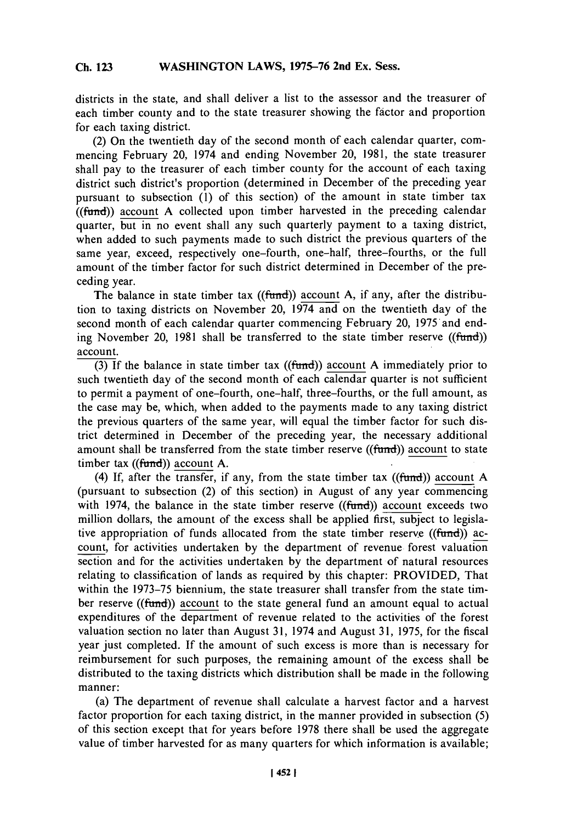districts in the state, and shall deliver a list to the assessor and the treasurer of each timber county and to the state treasurer showing the factor and proportion for each taxing district.

(2) On the twentieth day of the second month of each calendar quarter, commencing February 20, 1974 and ending November 20, **1981,** the state treasurer shall pay to the treasurer of each timber county for the account of each taxing district such district's proportion (determined in December of the preceding year pursuant to subsection **(1)** of this section) of the amount in state timber tax (funmd)) account **A** collected upon timber harvested in the preceding calendar quarter, but in no event shall any such quarterly payment to a taxing district, when added to such payments made to such district the previous quarters of the same year, exceed, respectively one-fourth, one-half, three-fourths, or the **full** amount of the timber factor for such district determined in December of the preceding year.

The balance in state timber tax ((fund)) account A, if any, after the distribution to taxing districts on November 20, 1974 and on the twentieth day of the second month of each calendar quarter commencing February 20, 1975 and ending November 20, 1981 shall be transferred to the state timber reserve ((fund)) account.

**(3) If** the balance in state timber tax (fund)) account **A** immediately prior to such twentieth day of the second month of each calendar quarter is not sufficient to permit a payment of one-fourth, one-half, three-fourths, or the full amount, as the case may be, which, when added to the payments made to any taxing district the previous quarters of the same year, will equal the timber factor for such district determined in December of the preceding year, the necessary additional amount shall be transferred from the state timber reserve ((fund)) account to state timber tax  $((fund))$  account A.

(4) **If,** after the transfer, if any, from the state timber tax (funmd)) account **A** (pursuant to subsection (2) of this section) in August of any year commencing with 1974, the balance in the state timber reserve  $((fund))$  account exceeds two million dollars, the amount of the excess shall be applied first, subject to legislative appropriation of funds allocated from the state timber reserve  $((\text{fund})$ ) account, for activities undertaken **by** the department of revenue forest valuation section and for the activities undertaken **by** the department of natural resources relating to classification of lands as required **by** this chapter: PROVIDED, That within the **1973-75** biennium, the state treasurer shall transfer from the state timber reserve ( $(fund)$ ) account to the state general fund an amount equal to actual expenditures of the department of revenue related to the activities of the forest valuation section no later than August **31,** 1974 and August **31, 1975,** for the fiscal year just completed. If the amount of such excess is more than is necessary for reimbursement for such purposes, the remaining amount of the excess shall be distributed to the taxing districts which distribution shall be made in the following manner:

(a) The department of revenue shall calculate a harvest factor and a harvest factor proportion for each taxing district, in the manner provided in subsection **(5)** of this section except that for years before **1978** there shall be used the aggregate value of timber harvested for as many quarters for which information is available;